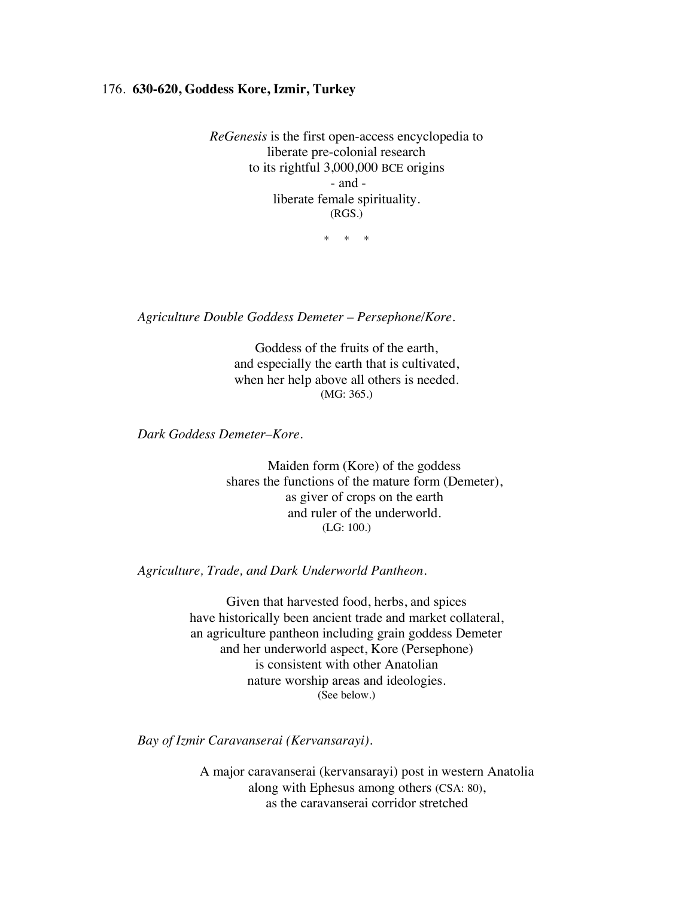## 176. **630-620, Goddess Kore, Izmir, Turkey**

*ReGenesis* is the first open-access encyclopedia to liberate pre-colonial research to its rightful 3,000,000 BCE origins - and liberate female spirituality. (RGS.)

\* \* \*

*Agriculture Double Goddess Demeter – Persephone/Kore.*

Goddess of the fruits of the earth, and especially the earth that is cultivated, when her help above all others is needed. (MG: 365.)

*Dark Goddess Demeter*–*Kore.*

Maiden form (Kore) of the goddess shares the functions of the mature form (Demeter), as giver of crops on the earth and ruler of the underworld. (LG: 100.)

*Agriculture, Trade, and Dark Underworld Pantheon.*

Given that harvested food, herbs, and spices have historically been ancient trade and market collateral, an agriculture pantheon including grain goddess Demeter and her underworld aspect, Kore (Persephone) is consistent with other Anatolian nature worship areas and ideologies. (See below.)

*Bay of Izmir Caravanserai (Kervansarayi).*

A major caravanserai (kervansarayi) post in western Anatolia along with Ephesus among others (CSA: 80), as the caravanserai corridor stretched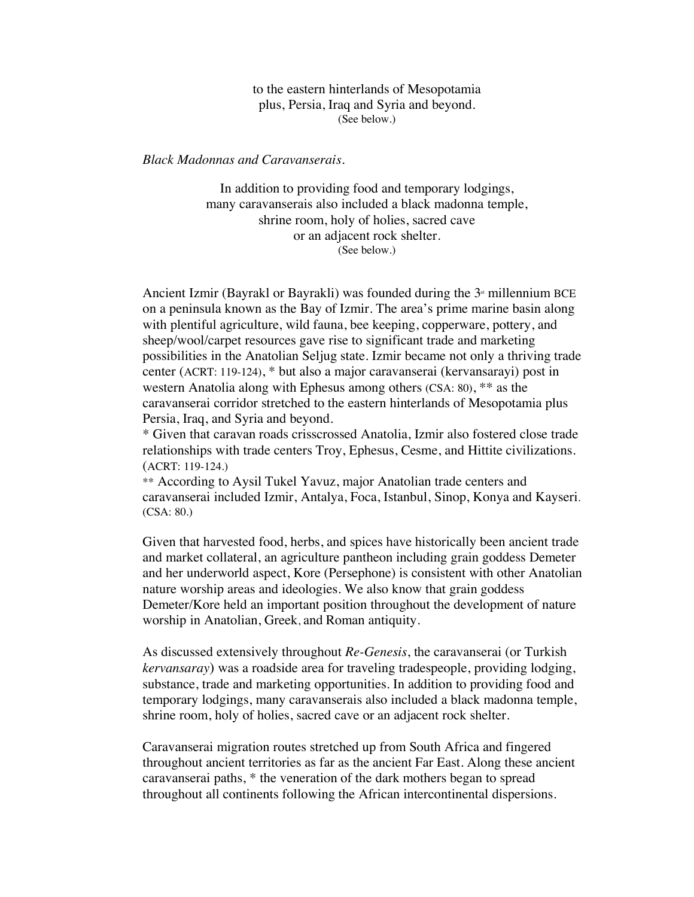to the eastern hinterlands of Mesopotamia plus, Persia, Iraq and Syria and beyond. (See below.)

## *Black Madonnas and Caravanserais*.

In addition to providing food and temporary lodgings, many caravanserais also included a black madonna temple, shrine room, holy of holies, sacred cave or an adjacent rock shelter. (See below.)

Ancient Izmir (Bayrakl or Bayrakli) was founded during the  $3<sup>d</sup>$  millennium BCE on a peninsula known as the Bay of Izmir. The area's prime marine basin along with plentiful agriculture, wild fauna, bee keeping, copperware, pottery, and sheep/wool/carpet resources gave rise to significant trade and marketing possibilities in the Anatolian Seljug state. Izmir became not only a thriving trade center (ACRT: 119-124), \* but also a major caravanserai (kervansarayi) post in western Anatolia along with Ephesus among others (CSA: 80), \*\* as the caravanserai corridor stretched to the eastern hinterlands of Mesopotamia plus Persia, Iraq, and Syria and beyond.

\* Given that caravan roads crisscrossed Anatolia, Izmir also fostered close trade relationships with trade centers Troy, Ephesus, Cesme, and Hittite civilizations. (ACRT: 119-124.)

\*\* According to Aysil Tukel Yavuz, major Anatolian trade centers and caravanserai included Izmir, Antalya, Foca, Istanbul, Sinop, Konya and Kayseri. (CSA: 80.)

Given that harvested food, herbs, and spices have historically been ancient trade and market collateral, an agriculture pantheon including grain goddess Demeter and her underworld aspect, Kore (Persephone) is consistent with other Anatolian nature worship areas and ideologies. We also know that grain goddess Demeter/Kore held an important position throughout the development of nature worship in Anatolian, Greek, and Roman antiquity.

As discussed extensively throughout *Re-Genesis*, the caravanserai (or Turkish *kervansaray*) was a roadside area for traveling tradespeople, providing lodging, substance, trade and marketing opportunities. In addition to providing food and temporary lodgings, many caravanserais also included a black madonna temple, shrine room, holy of holies, sacred cave or an adjacent rock shelter.

Caravanserai migration routes stretched up from South Africa and fingered throughout ancient territories as far as the ancient Far East. Along these ancient caravanserai paths, \* the veneration of the dark mothers began to spread throughout all continents following the African intercontinental dispersions.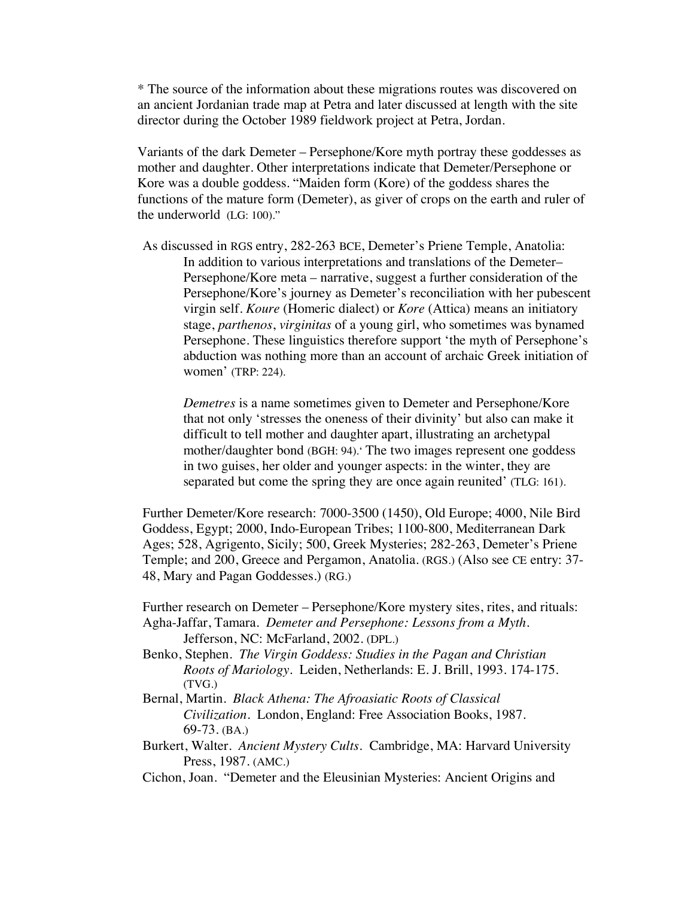\* The source of the information about these migrations routes was discovered on an ancient Jordanian trade map at Petra and later discussed at length with the site director during the October 1989 fieldwork project at Petra, Jordan.

Variants of the dark Demeter – Persephone/Kore myth portray these goddesses as mother and daughter. Other interpretations indicate that Demeter/Persephone or Kore was a double goddess. "Maiden form (Kore) of the goddess shares the functions of the mature form (Demeter), as giver of crops on the earth and ruler of the underworld (LG: 100)."

As discussed in RGS entry, 282-263 BCE, Demeter's Priene Temple, Anatolia: In addition to various interpretations and translations of the Demeter– Persephone/Kore meta – narrative, suggest a further consideration of the Persephone/Kore's journey as Demeter's reconciliation with her pubescent virgin self. *Koure* (Homeric dialect) or *Kore* (Attica) means an initiatory stage, *parthenos*, *virginitas* of a young girl, who sometimes was bynamed Persephone. These linguistics therefore support 'the myth of Persephone's abduction was nothing more than an account of archaic Greek initiation of women' (TRP: 224).

*Demetres* is a name sometimes given to Demeter and Persephone/Kore that not only 'stresses the oneness of their divinity' but also can make it difficult to tell mother and daughter apart, illustrating an archetypal mother/daughter bond (BGH: 94).' The two images represent one goddess in two guises, her older and younger aspects: in the winter, they are separated but come the spring they are once again reunited' (TLG: 161).

Further Demeter/Kore research: 7000-3500 (1450), Old Europe; 4000, Nile Bird Goddess, Egypt; 2000, Indo-European Tribes; 1100-800, Mediterranean Dark Ages; 528, Agrigento, Sicily; 500, Greek Mysteries; 282-263, Demeter's Priene Temple; and 200, Greece and Pergamon, Anatolia. (RGS.) (Also see CE entry: 37- 48, Mary and Pagan Goddesses.) (RG.)

Further research on Demeter – Persephone/Kore mystery sites, rites, and rituals: Agha-Jaffar, Tamara. *Demeter and Persephone: Lessons from a Myth*. Jefferson, NC: McFarland, 2002. (DPL.)

- Benko, Stephen. *The Virgin Goddess: Studies in the Pagan and Christian Roots of Mariology*. Leiden, Netherlands: E. J. Brill, 1993. 174-175. (TVG.)
- Bernal, Martin. *Black Athena: The Afroasiatic Roots of Classical Civilization*. London, England: Free Association Books, 1987. 69-73. (BA.)
- Burkert, Walter. *Ancient Mystery Cults.* Cambridge, MA: Harvard University Press, 1987. (AMC.)
- Cichon, Joan. "Demeter and the Eleusinian Mysteries: Ancient Origins and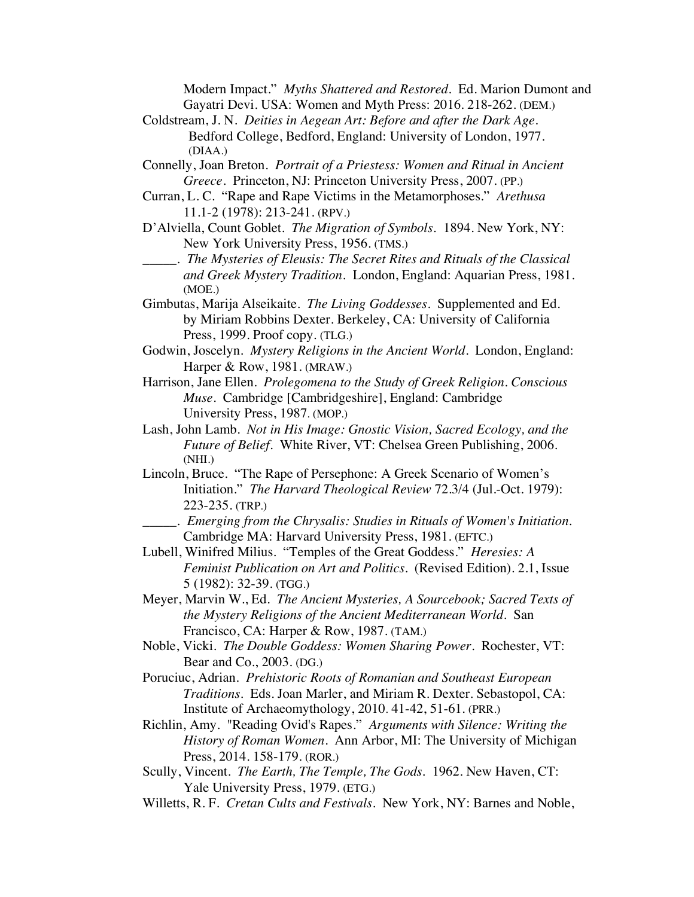Modern Impact." *Myths Shattered and Restored*. Ed. Marion Dumont and Gayatri Devi. USA: Women and Myth Press: 2016. 218-262. (DEM.)

- Coldstream, J. N. *Deities in Aegean Art: Before and after the Dark Age*. Bedford College, Bedford, England: University of London, 1977. (DIAA.)
- Connelly, Joan Breton. *Portrait of a Priestess: Women and Ritual in Ancient Greece*. Princeton, NJ: Princeton University Press, 2007. (PP.)
- Curran, L. C. "Rape and Rape Victims in the Metamorphoses." *Arethusa* 11.1-2 (1978): 213-241. (RPV.)
- D'Alviella, Count Goblet. *The Migration of Symbols.* 1894. New York, NY: New York University Press, 1956. (TMS.)
- \_\_\_\_\_. *The Mysteries of Eleusis: The Secret Rites and Rituals of the Classical and Greek Mystery Tradition.* London, England: Aquarian Press, 1981. (MOE.)
- Gimbutas, Marija Alseikaite. *The Living Goddesses*. Supplemented and Ed. by Miriam Robbins Dexter. Berkeley, CA: University of California Press, 1999. Proof copy. (TLG.)
- Godwin, Joscelyn. *Mystery Religions in the Ancient World*. London, England: Harper & Row, 1981. (MRAW.)
- Harrison, Jane Ellen. *Prolegomena to the Study of Greek Religion*. *Conscious Muse*. Cambridge [Cambridgeshire], England: Cambridge University Press, 1987. (MOP.)
- Lash, John Lamb. *Not in His Image: Gnostic Vision, Sacred Ecology, and the Future of Belief.* White River, VT: Chelsea Green Publishing, 2006. (NHI.)
- Lincoln, Bruce. "The Rape of Persephone: A Greek Scenario of Women's Initiation." *The Harvard Theological Review* 72.3/4 (Jul.-Oct. 1979): 223-235. (TRP.)
- \_\_\_\_\_. *Emerging from the Chrysalis: Studies in Rituals of Women's Initiation.* Cambridge MA: Harvard University Press, 1981. (EFTC.)
- Lubell, Winifred Milius. "Temples of the Great Goddess." *Heresies: A Feminist Publication on Art and Politics.* (Revised Edition). 2.1, Issue 5 (1982): 32-39. (TGG.)
- Meyer, Marvin W., Ed. *The Ancient Mysteries, A Sourcebook; Sacred Texts of the Mystery Religions of the Ancient Mediterranean World*. San Francisco, CA: Harper & Row, 1987. (TAM.)
- Noble, Vicki. *The Double Goddess: Women Sharing Power*. Rochester, VT: Bear and Co., 2003. (DG.)
- Poruciuc, Adrian. *Prehistoric Roots of Romanian and Southeast European Traditions*. Eds. Joan Marler, and Miriam R. Dexter. Sebastopol, CA: Institute of Archaeomythology, 2010. 41-42, 51-61. (PRR.)
- Richlin, Amy. "Reading Ovid's Rapes." *Arguments with Silence: Writing the History of Roman Women*. Ann Arbor, MI: The University of Michigan Press, 2014. 158-179. (ROR.)
- Scully, Vincent. *The Earth, The Temple, The Gods*. 1962. New Haven, CT: Yale University Press, 1979. (ETG.)
- Willetts, R. F. *Cretan Cults and Festivals*. New York, NY: Barnes and Noble,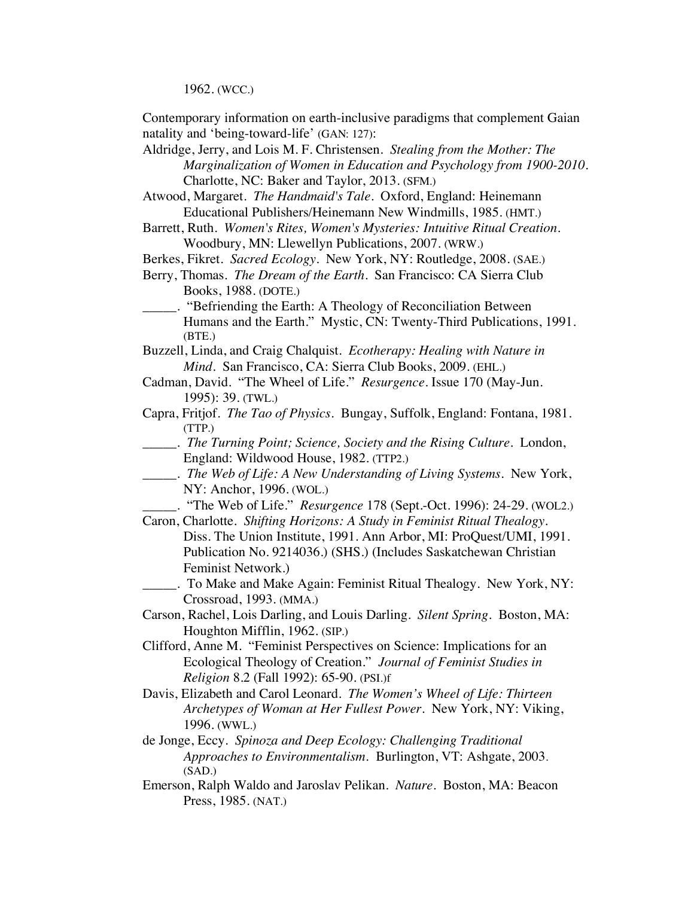1962. (WCC.)

Contemporary information on earth-inclusive paradigms that complement Gaian natality and 'being-toward-life' (GAN: 127):

- Aldridge, Jerry, and Lois M. F. Christensen. *Stealing from the Mother: The Marginalization of Women in Education and Psychology from 1900-2010*. Charlotte, NC: Baker and Taylor, 2013. (SFM.)
- Atwood, Margaret. *The Handmaid's Tale*. Oxford, England: Heinemann Educational Publishers/Heinemann New Windmills, 1985. (HMT.)
- Barrett, Ruth. *Women's Rites, Women's Mysteries: Intuitive Ritual Creation*. Woodbury, MN: Llewellyn Publications, 2007. (WRW.)
- Berkes, Fikret. *Sacred Ecology*. New York, NY: Routledge, 2008. (SAE.)
- Berry, Thomas. *The Dream of the Earth*. San Francisco: CA Sierra Club Books, 1988. (DOTE.)
- \_\_\_\_\_. "Befriending the Earth: A Theology of Reconciliation Between Humans and the Earth." Mystic, CN: Twenty-Third Publications, 1991. (BTE.)

Buzzell, Linda, and Craig Chalquist. *Ecotherapy: Healing with Nature in Mind.* San Francisco, CA: Sierra Club Books, 2009. (EHL.)

- Cadman, David. "The Wheel of Life." *Resurgence*. Issue 170 (May-Jun. 1995): 39. (TWL.)
- Capra, Fritjof. *The Tao of Physics*. Bungay, Suffolk, England: Fontana, 1981. (TTP.)
	- \_\_\_\_\_. *The Turning Point; Science, Society and the Rising Culture*. London, England: Wildwood House, 1982. (TTP2.)
- \_\_\_\_\_. *The Web of Life: A New Understanding of Living Systems*. New York, NY: Anchor, 1996. (WOL.)
- \_\_\_\_\_. "The Web of Life." *Resurgence* 178 (Sept.-Oct. 1996): 24-29. (WOL2.)
- Caron, Charlotte. *Shifting Horizons: A Study in Feminist Ritual Thealogy*. Diss. The Union Institute, 1991. Ann Arbor, MI: ProQuest/UMI, 1991. Publication No. 9214036.) (SHS.) (Includes Saskatchewan Christian Feminist Network.)
	- \_\_\_\_\_. To Make and Make Again: Feminist Ritual Thealogy. New York, NY: Crossroad, 1993. (MMA.)
- Carson, Rachel, Lois Darling, and Louis Darling. *Silent Spring.* Boston, MA: Houghton Mifflin, 1962. (SIP.)
- Clifford, Anne M. "Feminist Perspectives on Science: Implications for an Ecological Theology of Creation." *Journal of Feminist Studies in Religion* 8.2 (Fall 1992): 65-90. (PSI.)f
- Davis, Elizabeth and Carol Leonard. *The Women's Wheel of Life: Thirteen Archetypes of Woman at Her Fullest Power.* New York, NY: Viking, 1996. (WWL.)
- de Jonge, Eccy. *Spinoza and Deep Ecology: Challenging Traditional Approaches to Environmentalism.* Burlington, VT: Ashgate, 2003. (SAD.)
- Emerson, Ralph Waldo and Jaroslav Pelikan. *Nature*. Boston, MA: Beacon Press, 1985. (NAT.)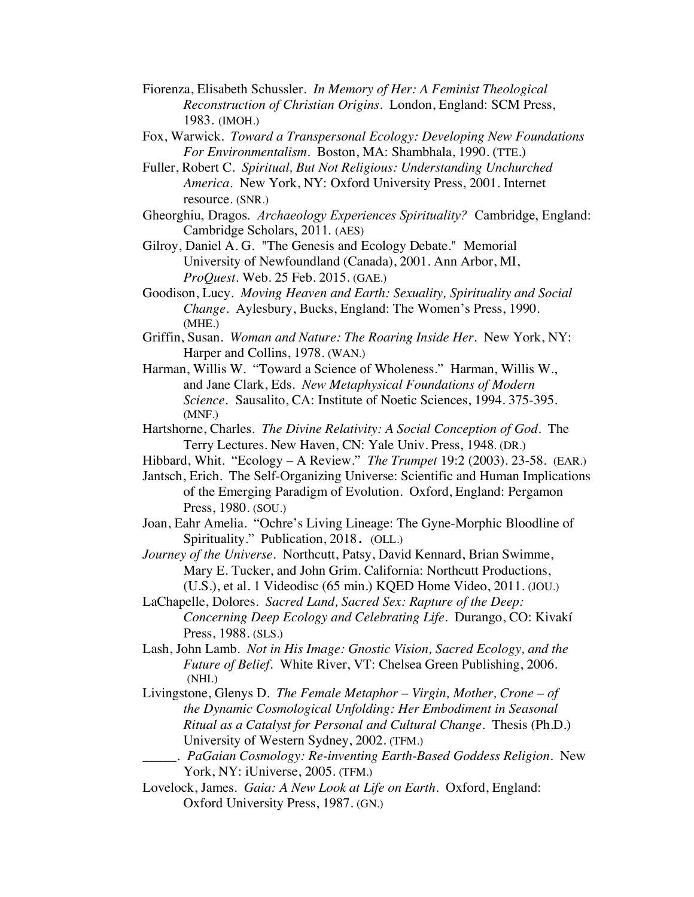- Fiorenza, Elisabeth Schussler. *In Memory of Her: A Feminist Theological Reconstruction of Christian Origins*. London, England: SCM Press, 1983. (IMOH.)
- Fox, Warwick. *Toward a Transpersonal Ecology: Developing New Foundations For Environmentalism*. Boston, MA: Shambhala, 1990. (TTE.)
- Fuller, Robert C. *Spiritual, But Not Religious: Understanding Unchurched America*. New York, NY: Oxford University Press, 2001. Internet resource. (SNR.)
- Gheorghiu, Dragos. *Archaeology Experiences Spirituality?* Cambridge, England: Cambridge Scholars, 2011. (AES)
- Gilroy, Daniel A. G. "The Genesis and Ecology Debate." Memorial University of Newfoundland (Canada), 2001. Ann Arbor, MI, *ProQuest.* Web. 25 Feb. 2015. (GAE.)
- Goodison, Lucy. *Moving Heaven and Earth: Sexuality, Spirituality and Social Change*. Aylesbury, Bucks, England: The Women's Press, 1990. (MHE.)
- Griffin, Susan. *Woman and Nature: The Roaring Inside Her*. New York, NY: Harper and Collins, 1978. (WAN.)
- Harman, Willis W. "Toward a Science of Wholeness." Harman, Willis W., and Jane Clark, Eds. *New Metaphysical Foundations of Modern Science.* Sausalito, CA: Institute of Noetic Sciences, 1994. 375-395. (MNF.)
- Hartshorne, Charles. *The Divine Relativity: A Social Conception of God*. The Terry Lectures. New Haven, CN: Yale Univ. Press, 1948. (DR.)
- Hibbard, Whit. "Ecology A Review." *The Trumpet* 19:2 (2003). 23-58. (EAR.)
- Jantsch, Erich. The Self-Organizing Universe: Scientific and Human Implications of the Emerging Paradigm of Evolution. Oxford, England: Pergamon Press, 1980. (SOU.)
- Joan, Eahr Amelia. "Ochre's Living Lineage: The Gyne-Morphic Bloodline of Spirituality." Publication, 2018. (OLL.)
- *Journey of the Universe.* Northcutt, Patsy, David Kennard, Brian Swimme, Mary E. Tucker, and John Grim. California: Northcutt Productions, (U.S.), et al. 1 Videodisc (65 min.) KQED Home Video, 2011. (JOU.)
- LaChapelle, Dolores. *Sacred Land, Sacred Sex: Rapture of the Deep: Concerning Deep Ecology and Celebrating Life*. Durango, CO: Kivakí Press, 1988. (SLS.)
- Lash, John Lamb. *Not in His Image: Gnostic Vision, Sacred Ecology, and the Future of Belief.* White River, VT: Chelsea Green Publishing, 2006. (NHI.)
- Livingstone, Glenys D. *The Female Metaphor Virgin, Mother, Crone of the Dynamic Cosmological Unfolding: Her Embodiment in Seasonal Ritual as a Catalyst for Personal and Cultural Change*. Thesis (Ph.D.) University of Western Sydney, 2002. (TFM.)
	- \_\_\_\_\_. *PaGaian Cosmology: Re-inventing Earth-Based Goddess Religion.* New York, NY: iUniverse, 2005. (TFM.)
- Lovelock, James. *Gaia: A New Look at Life on Earth*. Oxford, England: Oxford University Press, 1987. (GN.)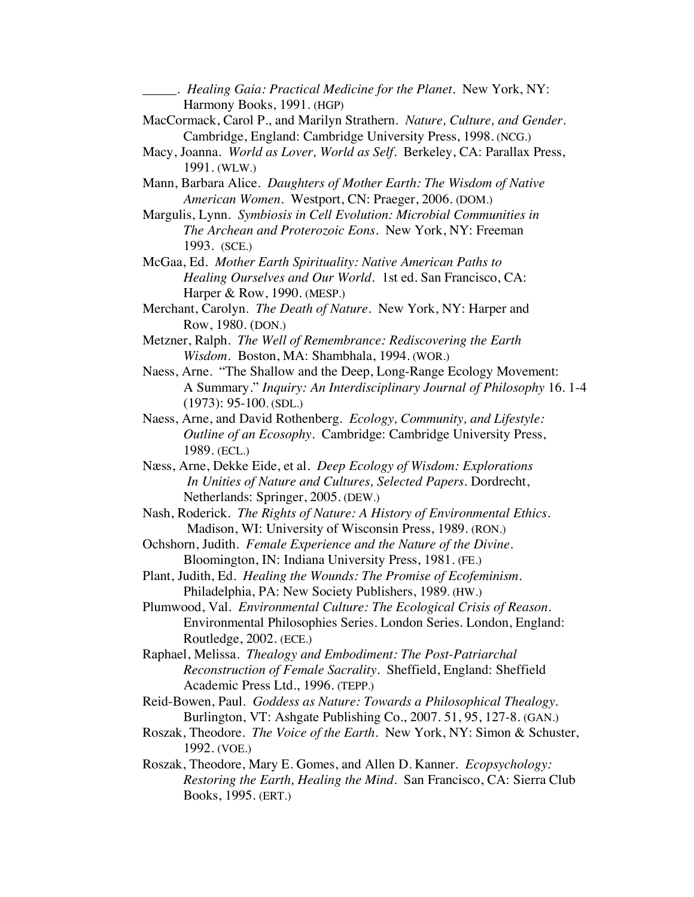\_\_\_\_\_. *Healing Gaia: Practical Medicine for the Planet*. New York, NY: Harmony Books, 1991. (HGP) MacCormack, Carol P., and Marilyn Strathern. *Nature, Culture, and Gender*. Cambridge, England: Cambridge University Press, 1998. (NCG.) Macy, Joanna. *World as Lover, World as Self*. Berkeley, CA: Parallax Press, 1991. (WLW.) Mann, Barbara Alice. *Daughters of Mother Earth: The Wisdom of Native American Women.* Westport, CN: Praeger, 2006. (DOM.) Margulis, Lynn. *Symbiosis in Cell Evolution: Microbial Communities in The Archean and Proterozoic Eons*. New York, NY: Freeman 1993. (SCE.) McGaa, Ed. *Mother Earth Spirituality: Native American Paths to Healing Ourselves and Our World.* 1st ed. San Francisco, CA: Harper & Row, 1990. (MESP.) Merchant, Carolyn. *The Death of Nature.* New York, NY: Harper and Row, 1980. (DON.) Metzner, Ralph. *The Well of Remembrance: Rediscovering the Earth Wisdom.* Boston, MA: Shambhala, 1994. (WOR.) Naess, Arne. "The Shallow and the Deep, Long-Range Ecology Movement: A Summary." *Inquiry: An Interdisciplinary Journal of Philosophy* 16. 1-4 (1973): 95-100. (SDL.) Naess, Arne, and David Rothenberg*. Ecology, Community, and Lifestyle: Outline of an Ecosophy*. Cambridge: Cambridge University Press, 1989. (ECL.) Næss, Arne, Dekke Eide, et al. *Deep Ecology of Wisdom: Explorations In Unities of Nature and Cultures, Selected Papers.* Dordrecht, Netherlands: Springer, 2005. (DEW.) Nash, Roderick. *The Rights of Nature: A History of Environmental Ethics*. Madison, WI: University of Wisconsin Press, 1989. (RON.) Ochshorn, Judith. *Female Experience and the Nature of the Divine*.

- Bloomington, IN: Indiana University Press, 1981. (FE.) Plant, Judith, Ed. *Healing the Wounds: The Promise of Ecofeminism*. Philadelphia, PA: New Society Publishers, 1989. (HW.)
- Plumwood, Val. *Environmental Culture: The Ecological Crisis of Reason*. Environmental Philosophies Series. London Series. London, England: Routledge, 2002. (ECE.)
- Raphael, Melissa. *Thealogy and Embodiment: The Post-Patriarchal Reconstruction of Female Sacrality*. Sheffield, England: Sheffield Academic Press Ltd., 1996. (TEPP.)
- Reid-Bowen, Paul. *Goddess as Nature: Towards a Philosophical Thealogy.* Burlington, VT: Ashgate Publishing Co., 2007. 51, 95, 127-8. (GAN.)
- Roszak, Theodore. *The Voice of the Earth*. New York, NY: Simon & Schuster, 1992. (VOE.)
- Roszak, Theodore, Mary E. Gomes, and Allen D. Kanner. *Ecopsychology: Restoring the Earth, Healing the Mind*. San Francisco, CA: Sierra Club Books, 1995. (ERT.)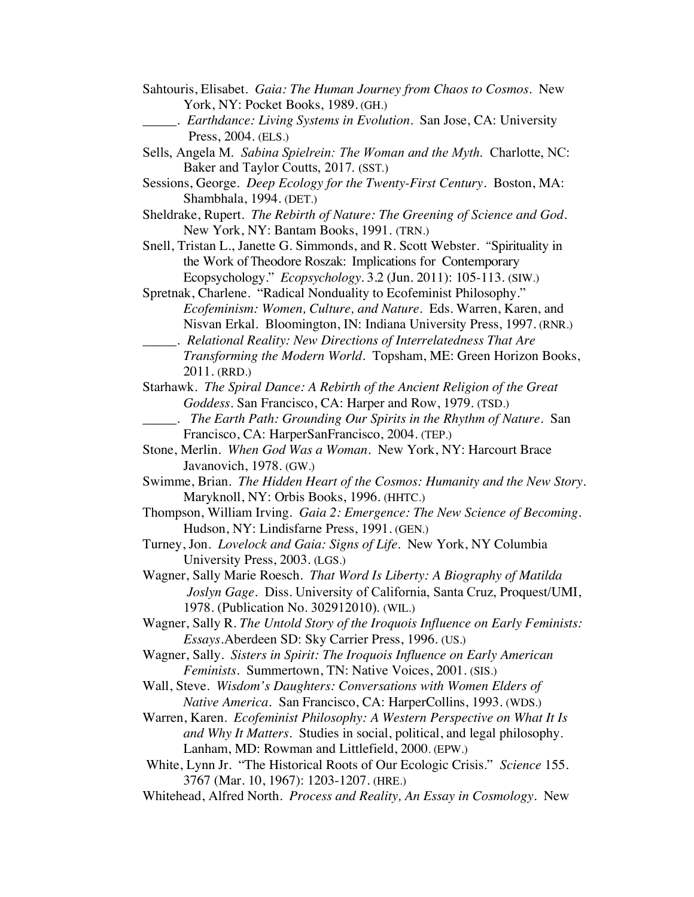- Sahtouris, Elisabet. *Gaia: The Human Journey from Chaos to Cosmos*. New York, NY: Pocket Books, 1989. (GH.)
	- \_\_\_\_\_. *Earthdance: Living Systems in Evolution*. San Jose, CA: University Press, 2004. (ELS.)
- Sells, Angela M. *Sabina Spielrein: The Woman and the Myth*. Charlotte, NC: Baker and Taylor Coutts, 2017. (SST.)
- Sessions, George. *Deep Ecology for the Twenty-First Century*. Boston, MA: Shambhala, 1994. (DET.)
- Sheldrake, Rupert. *The Rebirth of Nature: The Greening of Science and God*. New York, NY: Bantam Books, 1991. (TRN.)
- Snell, Tristan L., Janette G. Simmonds, and R. Scott Webster. "Spirituality in the Work of Theodore Roszak: Implications for Contemporary Ecopsychology." *Ecopsychology*. 3.2 (Jun. 2011): 105-113. (SIW.)
- Spretnak, Charlene. "Radical Nonduality to Ecofeminist Philosophy." *Ecofeminism: Women, Culture, and Nature*. Eds. Warren, Karen, and Nisvan Erkal. Bloomington, IN: Indiana University Press, 1997. (RNR.)
	- \_\_\_\_\_. *Relational Reality: New Directions of Interrelatedness That Are Transforming the Modern World*. Topsham, ME: Green Horizon Books, 2011. (RRD.)

Starhawk. *The Spiral Dance: A Rebirth of the Ancient Religion of the Great Goddess.* San Francisco, CA: Harper and Row, 1979. (TSD.)

- \_\_\_\_\_. *The Earth Path: Grounding Our Spirits in the Rhythm of Nature*. San Francisco, CA: HarperSanFrancisco, 2004. (TEP.)
- Stone, Merlin. *When God Was a Woman*. New York, NY: Harcourt Brace Javanovich, 1978. (GW.)
- Swimme, Brian. *The Hidden Heart of the Cosmos: Humanity and the New Story*. Maryknoll, NY: Orbis Books, 1996. (HHTC.)
- Thompson, William Irving. *Gaia 2: Emergence: The New Science of Becoming.* Hudson, NY: Lindisfarne Press, 1991. (GEN.)
- Turney, Jon. *Lovelock and Gaia: Signs of Life.* New York, NY Columbia University Press, 2003. (LGS.)
- Wagner, Sally Marie Roesch. *That Word Is Liberty: A Biography of Matilda Joslyn Gage*. Diss. University of California, Santa Cruz, Proquest/UMI, 1978. (Publication No. 302912010). (WIL.)
- Wagner, Sally R. *The Untold Story of the Iroquois Influence on Early Feminists: Essays*.Aberdeen SD: Sky Carrier Press, 1996. (US.)
- Wagner, Sally. *Sisters in Spirit: The Iroquois Influence on Early American Feminists*. Summertown, TN: Native Voices, 2001. (SIS.)
- Wall, Steve. *Wisdom's Daughters: Conversations with Women Elders of Native America.* San Francisco, CA: HarperCollins, 1993. (WDS.)
- Warren, Karen. *Ecofeminist Philosophy: A Western Perspective on What It Is and Why It Matters*. Studies in social, political, and legal philosophy. Lanham, MD: Rowman and Littlefield, 2000. (EPW.)
- White, Lynn Jr. "The Historical Roots of Our Ecologic Crisis." *Science* 155. 3767 (Mar. 10, 1967): 1203-1207. (HRE.)
- Whitehead, Alfred North. *Process and Reality, An Essay in Cosmology.* New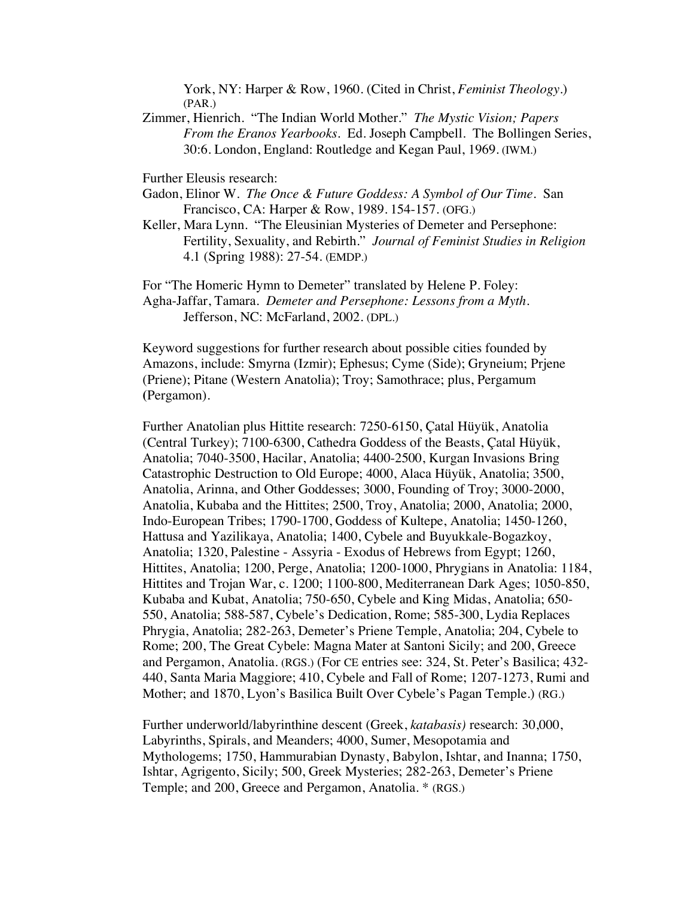York, NY: Harper & Row, 1960. (Cited in Christ, *Feminist Theology*.) (PAR.)

Zimmer, Hienrich. "The Indian World Mother." *The Mystic Vision; Papers From the Eranos Yearbooks.* Ed. Joseph Campbell. The Bollingen Series, 30:6. London, England: Routledge and Kegan Paul, 1969. (IWM.)

Further Eleusis research:

- Gadon, Elinor W. *The Once & Future Goddess: A Symbol of Our Time.* San Francisco, CA: Harper & Row, 1989. 154-157. (OFG.)
- Keller, Mara Lynn. "The Eleusinian Mysteries of Demeter and Persephone: Fertility, Sexuality, and Rebirth." *Journal of Feminist Studies in Religion* 4.1 (Spring 1988): 27-54. (EMDP.)

For "The Homeric Hymn to Demeter" translated by Helene P. Foley: Agha-Jaffar, Tamara. *Demeter and Persephone: Lessons from a Myth*. Jefferson, NC: McFarland, 2002. (DPL.)

Keyword suggestions for further research about possible cities founded by Amazons, include: Smyrna (Izmir); Ephesus; Cyme (Side); Gryneium; Prjene (Priene); Pitane (Western Anatolia); Troy; Samothrace; plus, Pergamum **(**Pergamon).

Further Anatolian plus Hittite research: 7250-6150, Çatal Hüyük, Anatolia (Central Turkey); 7100-6300, Cathedra Goddess of the Beasts, Çatal Hüyük, Anatolia; 7040-3500, Hacilar, Anatolia; 4400-2500, Kurgan Invasions Bring Catastrophic Destruction to Old Europe; 4000, Alaca Hüyük, Anatolia; 3500, Anatolia, Arinna, and Other Goddesses; 3000, Founding of Troy; 3000-2000, Anatolia, Kubaba and the Hittites; 2500, Troy, Anatolia; 2000, Anatolia; 2000, Indo-European Tribes; 1790-1700, Goddess of Kultepe, Anatolia; 1450-1260, Hattusa and Yazilikaya, Anatolia; 1400, Cybele and Buyukkale-Bogazkoy, Anatolia; 1320, Palestine - Assyria - Exodus of Hebrews from Egypt; 1260, Hittites, Anatolia; 1200, Perge, Anatolia; 1200-1000, Phrygians in Anatolia: 1184, Hittites and Trojan War, c. 1200; 1100-800, Mediterranean Dark Ages; 1050-850, Kubaba and Kubat, Anatolia; 750-650, Cybele and King Midas, Anatolia; 650- 550, Anatolia; 588-587, Cybele's Dedication, Rome; 585-300, Lydia Replaces Phrygia, Anatolia; 282-263, Demeter's Priene Temple, Anatolia; 204, Cybele to Rome; 200, The Great Cybele: Magna Mater at Santoni Sicily; and 200, Greece and Pergamon, Anatolia. (RGS.) (For CE entries see: 324, St. Peter's Basilica; 432- 440, Santa Maria Maggiore; 410, Cybele and Fall of Rome; 1207-1273, Rumi and Mother; and 1870, Lyon's Basilica Built Over Cybele's Pagan Temple.) (RG.)

Further underworld/labyrinthine descent (Greek, *katabasis)* research: 30,000, Labyrinths, Spirals, and Meanders; 4000, Sumer, Mesopotamia and Mythologems; 1750, Hammurabian Dynasty, Babylon, Ishtar, and Inanna; 1750, Ishtar, Agrigento, Sicily; 500, Greek Mysteries; 282-263, Demeter's Priene Temple; and 200, Greece and Pergamon, Anatolia. \* (RGS.)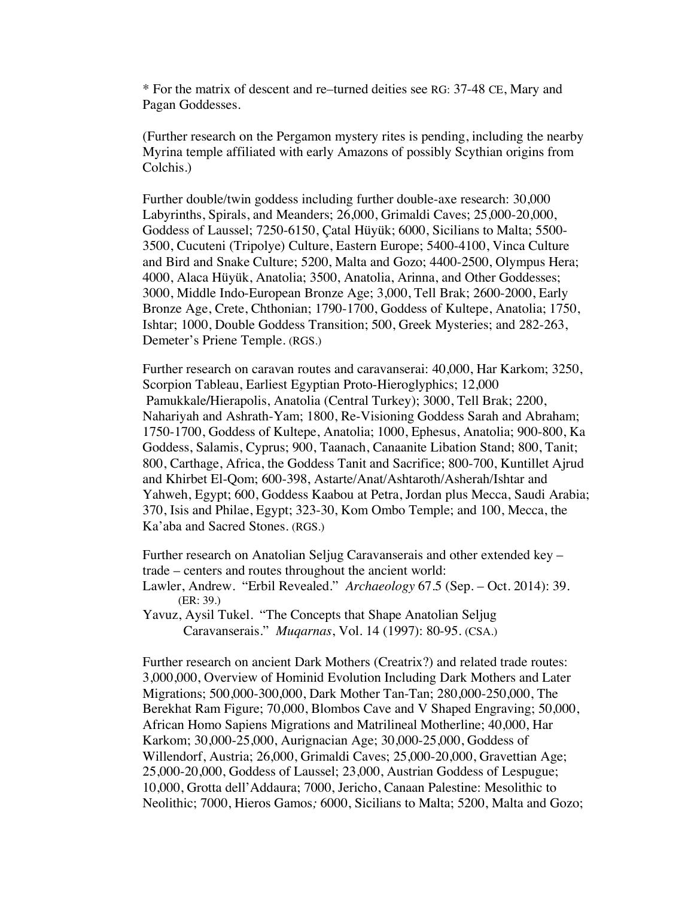\* For the matrix of descent and re–turned deities see RG: 37-48 CE, Mary and Pagan Goddesses.

(Further research on the Pergamon mystery rites is pending, including the nearby Myrina temple affiliated with early Amazons of possibly Scythian origins from Colchis.)

Further double/twin goddess including further double-axe research: 30,000 Labyrinths, Spirals, and Meanders; 26,000, Grimaldi Caves; 25,000-20,000, Goddess of Laussel; 7250-6150, Çatal Hüyük; 6000, Sicilians to Malta; 5500- 3500, Cucuteni (Tripolye) Culture, Eastern Europe; 5400-4100, Vinca Culture and Bird and Snake Culture; 5200, Malta and Gozo; 4400-2500, Olympus Hera; 4000, Alaca Hüyük, Anatolia; 3500, Anatolia, Arinna, and Other Goddesses; 3000, Middle Indo-European Bronze Age; 3,000, Tell Brak; 2600-2000, Early Bronze Age, Crete, Chthonian; 1790-1700, Goddess of Kultepe, Anatolia; 1750, Ishtar; 1000, Double Goddess Transition; 500, Greek Mysteries; and 282-263, Demeter's Priene Temple. (RGS.)

Further research on caravan routes and caravanserai: 40,000, Har Karkom; 3250, Scorpion Tableau, Earliest Egyptian Proto-Hieroglyphics; 12,000 Pamukkale*/*Hierapolis, Anatolia (Central Turkey); 3000, Tell Brak; 2200, Nahariyah and Ashrath-Yam; 1800, Re-Visioning Goddess Sarah and Abraham; 1750-1700, Goddess of Kultepe, Anatolia; 1000, Ephesus, Anatolia; 900-800, Ka Goddess, Salamis, Cyprus; 900, Taanach, Canaanite Libation Stand; 800, Tanit; 800, Carthage, Africa, the Goddess Tanit and Sacrifice; 800-700, Kuntillet Ajrud and Khirbet El-Qom; 600-398, Astarte/Anat/Ashtaroth/Asherah/Ishtar and Yahweh, Egypt; 600, Goddess Kaabou at Petra, Jordan plus Mecca, Saudi Arabia; 370, Isis and Philae, Egypt; 323-30, Kom Ombo Temple; and 100, Mecca, the Ka'aba and Sacred Stones. (RGS.)

Further research on Anatolian Seljug Caravanserais and other extended key – trade – centers and routes throughout the ancient world:

Lawler, Andrew. "Erbil Revealed." *Archaeology* 67.5 (Sep. – Oct. 2014): 39. (ER: 39.)

Yavuz, Aysil Tukel. "The Concepts that Shape Anatolian Seljug Caravanserais." *Muqarnas*, Vol. 14 (1997): 80-95. (CSA.)

Further research on ancient Dark Mothers (Creatrix?) and related trade routes: 3,000,000, Overview of Hominid Evolution Including Dark Mothers and Later Migrations; 500,000-300,000, Dark Mother Tan-Tan; 280,000-250,000, The Berekhat Ram Figure; 70,000, Blombos Cave and V Shaped Engraving; 50,000, African Homo Sapiens Migrations and Matrilineal Motherline; 40,000, Har Karkom; 30,000-25,000, Aurignacian Age; 30,000-25,000, Goddess of Willendorf, Austria; 26,000, Grimaldi Caves; 25,000-20,000, Gravettian Age; 25,000-20,000, Goddess of Laussel; 23,000, Austrian Goddess of Lespugue; 10,000, Grotta dell'Addaura; 7000, Jericho, Canaan Palestine: Mesolithic to Neolithic; 7000, Hieros Gamos*;* 6000, Sicilians to Malta; 5200, Malta and Gozo;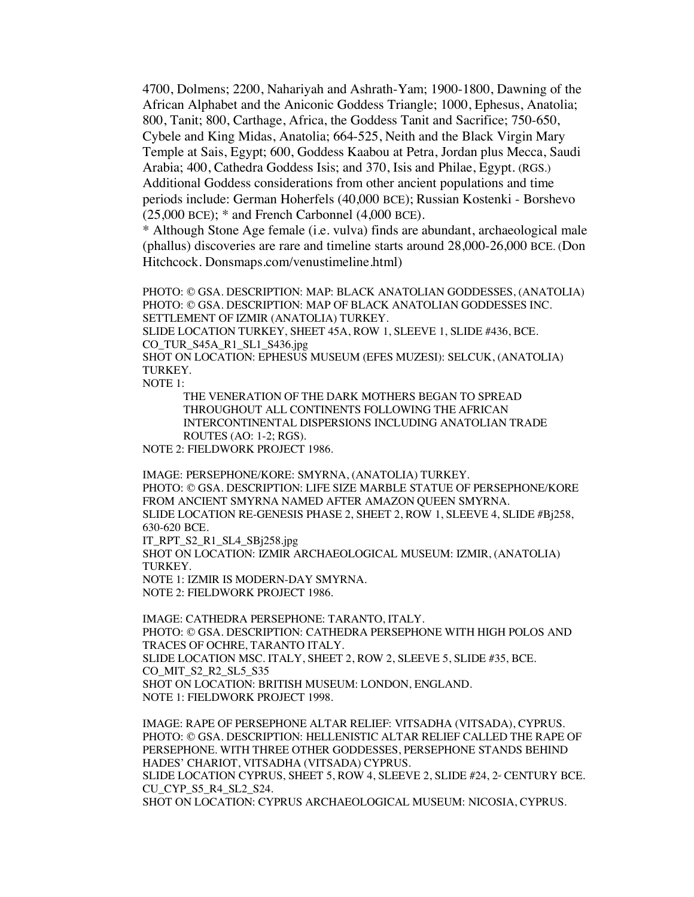4700, Dolmens; 2200, Nahariyah and Ashrath-Yam; 1900-1800, Dawning of the African Alphabet and the Aniconic Goddess Triangle; 1000, Ephesus, Anatolia; 800, Tanit; 800, Carthage, Africa, the Goddess Tanit and Sacrifice; 750-650, Cybele and King Midas, Anatolia; 664-525, Neith and the Black Virgin Mary Temple at Sais, Egypt; 600, Goddess Kaabou at Petra, Jordan plus Mecca, Saudi Arabia; 400, Cathedra Goddess Isis; and 370, Isis and Philae, Egypt. (RGS.) Additional Goddess considerations from other ancient populations and time periods include: German Hoherfels (40,000 BCE); Russian Kostenki - Borshevo (25,000 BCE); \* and French Carbonnel (4,000 BCE).

\* Although Stone Age female (i.e. vulva) finds are abundant, archaeological male (phallus) discoveries are rare and timeline starts around 28,000-26,000 BCE. (Don Hitchcock. Donsmaps.com/venustimeline.html)

PHOTO: © GSA. DESCRIPTION: MAP: BLACK ANATOLIAN GODDESSES, (ANATOLIA) PHOTO: © GSA. DESCRIPTION: MAP OF BLACK ANATOLIAN GODDESSES INC. SETTLEMENT OF IZMIR (ANATOLIA) TURKEY. SLIDE LOCATION TURKEY, SHEET 45A, ROW 1, SLEEVE 1, SLIDE #436, BCE. CO\_TUR\_S45A\_R1\_SL1\_S436.jpg SHOT ON LOCATION: EPHESUS MUSEUM (EFES MUZESI): SELCUK, (ANATOLIA) TURKEY. NOTE 1:

THE VENERATION OF THE DARK MOTHERS BEGAN TO SPREAD THROUGHOUT ALL CONTINENTS FOLLOWING THE AFRICAN INTERCONTINENTAL DISPERSIONS INCLUDING ANATOLIAN TRADE ROUTES (AO: 1-2; RGS).

NOTE 2: FIELDWORK PROJECT 1986.

IMAGE: PERSEPHONE/KORE: SMYRNA, (ANATOLIA) TURKEY. PHOTO: © GSA. DESCRIPTION: LIFE SIZE MARBLE STATUE OF PERSEPHONE/KORE FROM ANCIENT SMYRNA NAMED AFTER AMAZON QUEEN SMYRNA. SLIDE LOCATION RE-GENESIS PHASE 2, SHEET 2, ROW 1, SLEEVE 4, SLIDE #Bj258, 630-620 BCE.

IT\_RPT\_S2\_R1\_SL4\_SBj258.jpg SHOT ON LOCATION: IZMIR ARCHAEOLOGICAL MUSEUM: IZMIR, (ANATOLIA) TURKEY. NOTE 1: IZMIR IS MODERN-DAY SMYRNA.

NOTE 2: FIELDWORK PROJECT 1986.

IMAGE: CATHEDRA PERSEPHONE: TARANTO, ITALY. PHOTO: © GSA. DESCRIPTION: CATHEDRA PERSEPHONE WITH HIGH POLOS AND TRACES OF OCHRE, TARANTO ITALY. SLIDE LOCATION MSC. ITALY, SHEET 2, ROW 2, SLEEVE 5, SLIDE #35, BCE. CO\_MIT\_S2\_R2\_SL5\_S35 SHOT ON LOCATION: BRITISH MUSEUM: LONDON, ENGLAND. NOTE 1: FIELDWORK PROJECT 1998.

IMAGE: RAPE OF PERSEPHONE ALTAR RELIEF: VITSADHA (VITSADA), CYPRUS. PHOTO: © GSA. DESCRIPTION: HELLENISTIC ALTAR RELIEF CALLED THE RAPE OF PERSEPHONE. WITH THREE OTHER GODDESSES, PERSEPHONE STANDS BEHIND HADES' CHARIOT, VITSADHA (VITSADA) CYPRUS. SLIDE LOCATION CYPRUS, SHEET 5, ROW 4, SLEEVE 2, SLIDE #24, 2<sup>nd</sup> CENTURY BCE. CU\_CYP\_S5\_R4\_SL2\_S24. SHOT ON LOCATION: CYPRUS ARCHAEOLOGICAL MUSEUM: NICOSIA, CYPRUS.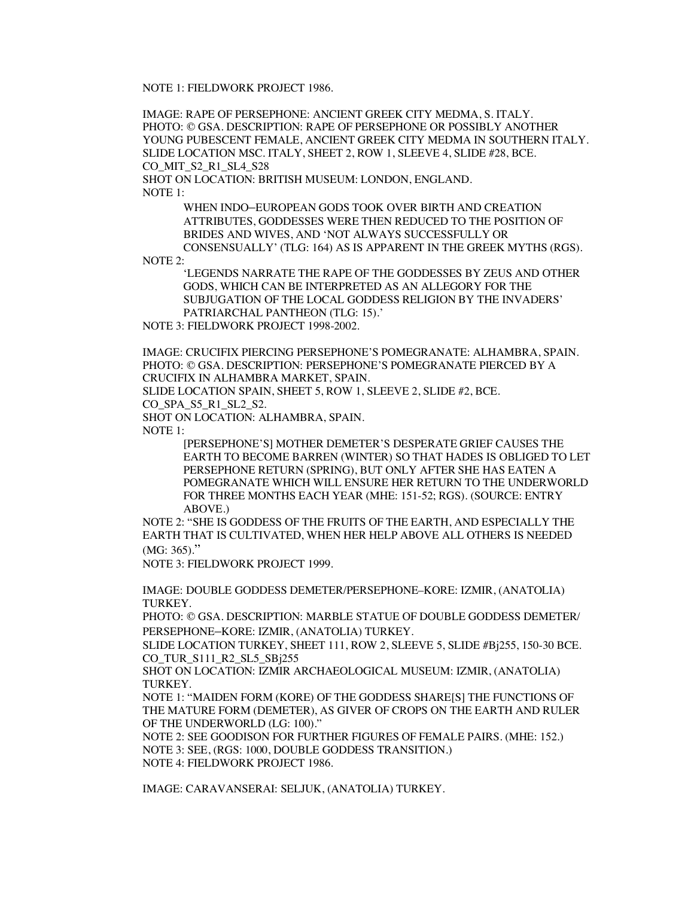NOTE 1: FIELDWORK PROJECT 1986.

IMAGE: RAPE OF PERSEPHONE: ANCIENT GREEK CITY MEDMA, S. ITALY. PHOTO: © GSA. DESCRIPTION: RAPE OF PERSEPHONE OR POSSIBLY ANOTHER YOUNG PUBESCENT FEMALE, ANCIENT GREEK CITY MEDMA IN SOUTHERN ITALY. SLIDE LOCATION MSC. ITALY, SHEET 2, ROW 1, SLEEVE 4, SLIDE #28, BCE. CO\_MIT\_S2\_R1\_SL4\_S28

SHOT ON LOCATION: BRITISH MUSEUM: LONDON, ENGLAND. NOTE 1:

> WHEN INDO–EUROPEAN GODS TOOK OVER BIRTH AND CREATION ATTRIBUTES, GODDESSES WERE THEN REDUCED TO THE POSITION OF BRIDES AND WIVES, AND 'NOT ALWAYS SUCCESSFULLY OR CONSENSUALLY' (TLG: 164) AS IS APPARENT IN THE GREEK MYTHS (RGS).

NOTE 2:

'LEGENDS NARRATE THE RAPE OF THE GODDESSES BY ZEUS AND OTHER GODS, WHICH CAN BE INTERPRETED AS AN ALLEGORY FOR THE SUBJUGATION OF THE LOCAL GODDESS RELIGION BY THE INVADERS' PATRIARCHAL PANTHEON (TLG: 15).'

NOTE 3: FIELDWORK PROJECT 1998-2002.

IMAGE: CRUCIFIX PIERCING PERSEPHONE'S POMEGRANATE: ALHAMBRA, SPAIN. PHOTO: © GSA. DESCRIPTION: PERSEPHONE'S POMEGRANATE PIERCED BY A CRUCIFIX IN ALHAMBRA MARKET, SPAIN.

SLIDE LOCATION SPAIN, SHEET 5, ROW 1, SLEEVE 2, SLIDE #2, BCE.

CO\_SPA\_S5\_R1\_SL2\_S2.

SHOT ON LOCATION: ALHAMBRA, SPAIN.

NOTE 1:

[PERSEPHONE'S] MOTHER DEMETER'S DESPERATE GRIEF CAUSES THE EARTH TO BECOME BARREN (WINTER) SO THAT HADES IS OBLIGED TO LET PERSEPHONE RETURN (SPRING), BUT ONLY AFTER SHE HAS EATEN A POMEGRANATE WHICH WILL ENSURE HER RETURN TO THE UNDERWORLD FOR THREE MONTHS EACH YEAR (MHE: 151-52; RGS). (SOURCE: ENTRY ABOVE.)

NOTE 2: "SHE IS GODDESS OF THE FRUITS OF THE EARTH, AND ESPECIALLY THE EARTH THAT IS CULTIVATED, WHEN HER HELP ABOVE ALL OTHERS IS NEEDED (MG: 365)."

NOTE 3: FIELDWORK PROJECT 1999.

IMAGE: DOUBLE GODDESS DEMETER/PERSEPHONE–KORE: IZMIR, (ANATOLIA) TURKEY.

PHOTO: © GSA. DESCRIPTION: MARBLE STATUE OF DOUBLE GODDESS DEMETER/ PERSEPHONE–KORE: IZMIR, (ANATOLIA) TURKEY.

SLIDE LOCATION TURKEY, SHEET 111, ROW 2, SLEEVE 5, SLIDE #Bj255, 150-30 BCE. CO\_TUR\_S111\_R2\_SL5\_SBj255

SHOT ON LOCATION: IZMIR ARCHAEOLOGICAL MUSEUM: IZMIR, (ANATOLIA) TURKEY.

NOTE 1: "MAIDEN FORM (KORE) OF THE GODDESS SHARE[S] THE FUNCTIONS OF THE MATURE FORM (DEMETER), AS GIVER OF CROPS ON THE EARTH AND RULER OF THE UNDERWORLD (LG: 100)."

NOTE 2: SEE GOODISON FOR FURTHER FIGURES OF FEMALE PAIRS. (MHE: 152.) NOTE 3: SEE, (RGS: 1000, DOUBLE GODDESS TRANSITION.) NOTE 4: FIELDWORK PROJECT 1986.

IMAGE: CARAVANSERAI: SELJUK, (ANATOLIA) TURKEY.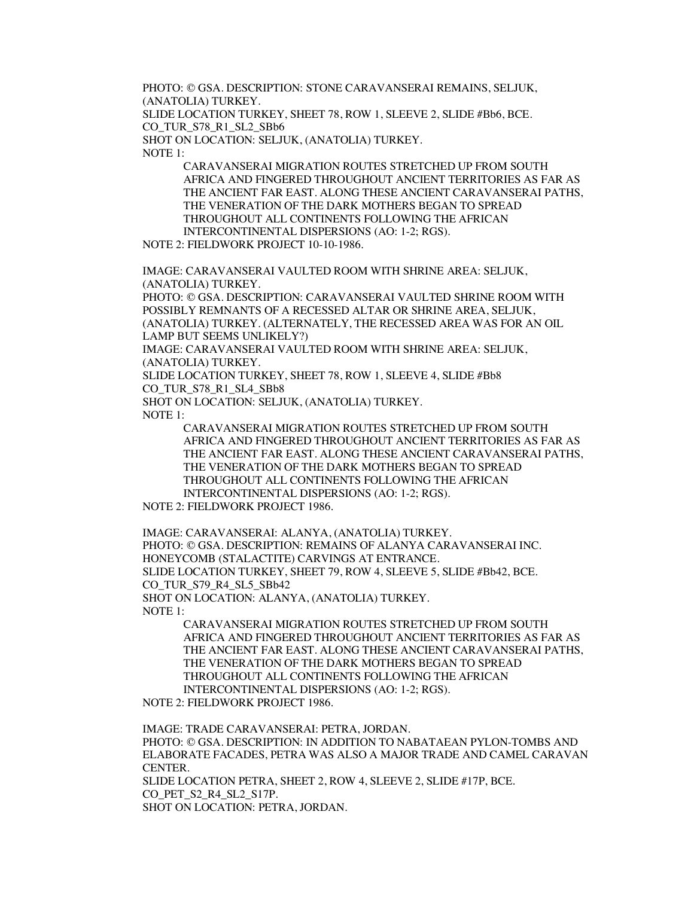PHOTO: © GSA. DESCRIPTION: STONE CARAVANSERAI REMAINS, SELJUK, (ANATOLIA) TURKEY.

SLIDE LOCATION TURKEY, SHEET 78, ROW 1, SLEEVE 2, SLIDE #Bb6, BCE. CO\_TUR\_S78\_R1\_SL2\_SBb6

SHOT ON LOCATION: SELJUK, (ANATOLIA) TURKEY.

NOTE 1:

CARAVANSERAI MIGRATION ROUTES STRETCHED UP FROM SOUTH AFRICA AND FINGERED THROUGHOUT ANCIENT TERRITORIES AS FAR AS THE ANCIENT FAR EAST. ALONG THESE ANCIENT CARAVANSERAI PATHS, THE VENERATION OF THE DARK MOTHERS BEGAN TO SPREAD THROUGHOUT ALL CONTINENTS FOLLOWING THE AFRICAN INTERCONTINENTAL DISPERSIONS (AO: 1-2; RGS).

NOTE 2: FIELDWORK PROJECT 10-10-1986.

IMAGE: CARAVANSERAI VAULTED ROOM WITH SHRINE AREA: SELJUK, (ANATOLIA) TURKEY.

PHOTO: © GSA. DESCRIPTION: CARAVANSERAI VAULTED SHRINE ROOM WITH POSSIBLY REMNANTS OF A RECESSED ALTAR OR SHRINE AREA, SELJUK, (ANATOLIA) TURKEY. (ALTERNATELY, THE RECESSED AREA WAS FOR AN OIL LAMP BUT SEEMS UNLIKELY?)

IMAGE: CARAVANSERAI VAULTED ROOM WITH SHRINE AREA: SELJUK, (ANATOLIA) TURKEY.

SLIDE LOCATION TURKEY, SHEET 78, ROW 1, SLEEVE 4, SLIDE #Bb8 CO\_TUR\_S78\_R1\_SL4\_SBb8

SHOT ON LOCATION: SELJUK, (ANATOLIA) TURKEY.

NOTE 1:

CARAVANSERAI MIGRATION ROUTES STRETCHED UP FROM SOUTH AFRICA AND FINGERED THROUGHOUT ANCIENT TERRITORIES AS FAR AS THE ANCIENT FAR EAST. ALONG THESE ANCIENT CARAVANSERAI PATHS, THE VENERATION OF THE DARK MOTHERS BEGAN TO SPREAD THROUGHOUT ALL CONTINENTS FOLLOWING THE AFRICAN INTERCONTINENTAL DISPERSIONS (AO: 1-2; RGS).

NOTE 2: FIELDWORK PROJECT 1986.

IMAGE: CARAVANSERAI: ALANYA, (ANATOLIA) TURKEY. PHOTO: © GSA. DESCRIPTION: REMAINS OF ALANYA CARAVANSERAI INC. HONEYCOMB (STALACTITE) CARVINGS AT ENTRANCE. SLIDE LOCATION TURKEY, SHEET 79, ROW 4, SLEEVE 5, SLIDE #Bb42, BCE. CO\_TUR\_S79\_R4\_SL5\_SBb42 SHOT ON LOCATION: ALANYA, (ANATOLIA) TURKEY. NOTE 1:

CARAVANSERAI MIGRATION ROUTES STRETCHED UP FROM SOUTH AFRICA AND FINGERED THROUGHOUT ANCIENT TERRITORIES AS FAR AS THE ANCIENT FAR EAST. ALONG THESE ANCIENT CARAVANSERAI PATHS, THE VENERATION OF THE DARK MOTHERS BEGAN TO SPREAD

THROUGHOUT ALL CONTINENTS FOLLOWING THE AFRICAN

INTERCONTINENTAL DISPERSIONS (AO: 1-2; RGS).

NOTE 2: FIELDWORK PROJECT 1986.

IMAGE: TRADE CARAVANSERAI: PETRA, JORDAN. PHOTO: © GSA. DESCRIPTION: IN ADDITION TO NABATAEAN PYLON-TOMBS AND ELABORATE FACADES, PETRA WAS ALSO A MAJOR TRADE AND CAMEL CARAVAN CENTER.

SLIDE LOCATION PETRA, SHEET 2, ROW 4, SLEEVE 2, SLIDE #17P, BCE. CO PET S2 R4 SL2 S17P.

SHOT ON LOCATION: PETRA, JORDAN.